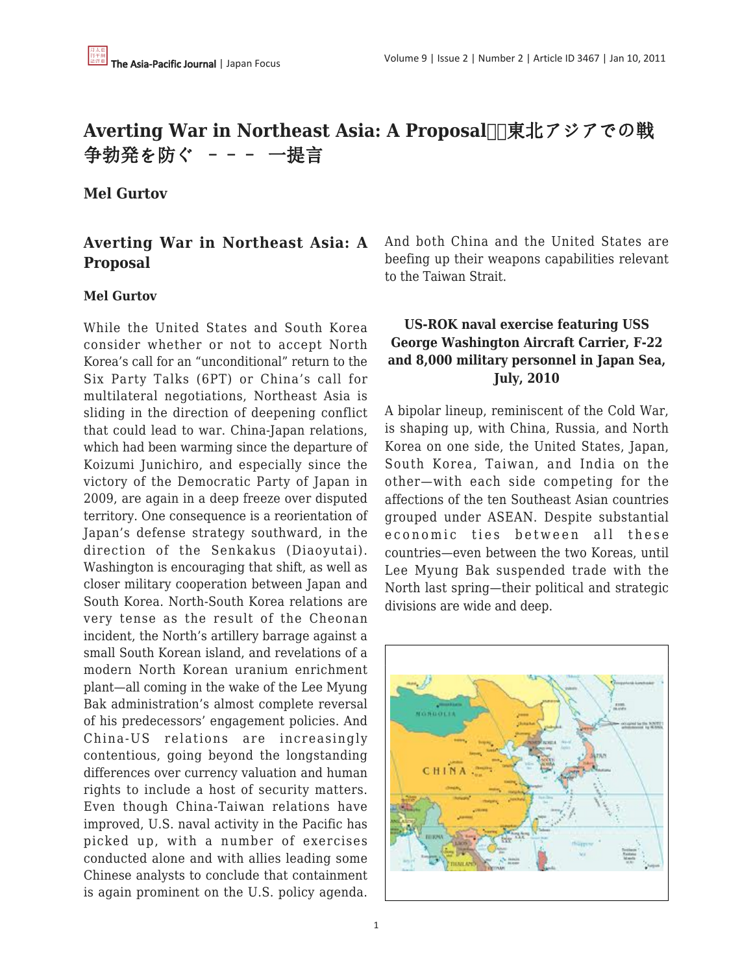# **Averting War in Northeast Asia: A Proposal Ⅱ東北アジアでの戦** 争勃発を防ぐ ––– 一提言

### **Mel Gurtov**

## **Averting War in Northeast Asia: A Proposal**

#### **Mel Gurtov**

While the United States and South Korea consider whether or not to accept North Korea's call for an "unconditional" return to the Six Party Talks (6PT) or China's call for multilateral negotiations, Northeast Asia is sliding in the direction of deepening conflict that could lead to war. China-Japan relations, which had been warming since the departure of Koizumi Junichiro, and especially since the victory of the Democratic Party of Japan in 2009, are again in a deep freeze over disputed territory. One consequence is a reorientation of Japan's defense strategy southward, in the direction of the Senkakus (Diaoyutai). Washington is encouraging that shift, as well as closer military cooperation between Japan and South Korea. North-South Korea relations are very tense as the result of the Cheonan incident, the North's artillery barrage against a small South Korean island, and revelations of a modern North Korean uranium enrichment plant—all coming in the wake of the Lee Myung Bak administration's almost complete reversal of his predecessors' engagement policies. And China-US relations are increasingly contentious, going beyond the longstanding differences over currency valuation and human rights to include a host of security matters. Even though China-Taiwan relations have improved, U.S. naval activity in the Pacific has picked up, with a number of exercises conducted alone and with allies leading some Chinese analysts to conclude that containment is again prominent on the U.S. policy agenda.

And both China and the United States are beefing up their weapons capabilities relevant to the Taiwan Strait.

## **US-ROK naval exercise featuring USS George Washington Aircraft Carrier, F-22 and 8,000 military personnel in Japan Sea, July, 2010**

A bipolar lineup, reminiscent of the Cold War, is shaping up, with China, Russia, and North Korea on one side, the United States, Japan, South Korea, Taiwan, and India on the other—with each side competing for the affections of the ten Southeast Asian countries grouped under ASEAN. Despite substantial economic ties between all these countries—even between the two Koreas, until Lee Myung Bak suspended trade with the North last spring—their political and strategic divisions are wide and deep.

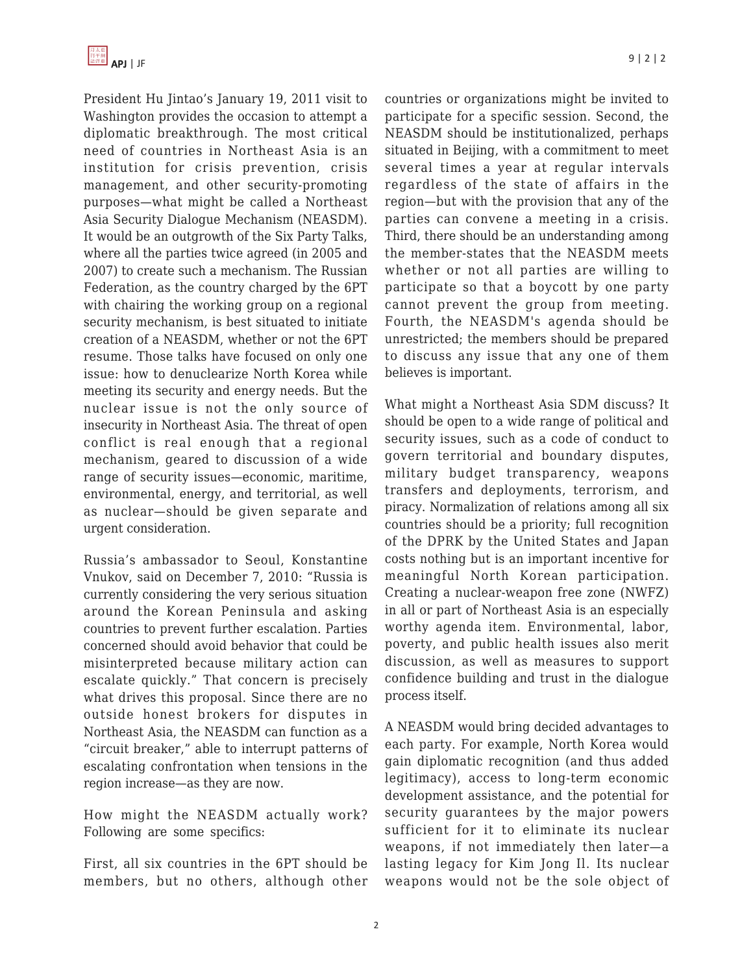President Hu Jintao's January 19, 2011 visit to Washington provides the occasion to attempt a diplomatic breakthrough. The most critical need of countries in Northeast Asia is an institution for crisis prevention, crisis management, and other security-promoting purposes—what might be called a Northeast Asia Security Dialogue Mechanism (NEASDM). It would be an outgrowth of the Six Party Talks, where all the parties twice agreed (in 2005 and 2007) to create such a mechanism. The Russian Federation, as the country charged by the 6PT with chairing the working group on a regional security mechanism, is best situated to initiate creation of a NEASDM, whether or not the 6PT resume. Those talks have focused on only one issue: how to denuclearize North Korea while meeting its security and energy needs. But the nuclear issue is not the only source of insecurity in Northeast Asia. The threat of open conflict is real enough that a regional mechanism, geared to discussion of a wide range of security issues—economic, maritime, environmental, energy, and territorial, as well as nuclear—should be given separate and urgent consideration.

Russia's ambassador to Seoul, Konstantine Vnukov, said on December 7, 2010: "Russia is currently considering the very serious situation around the Korean Peninsula and asking countries to prevent further escalation. Parties concerned should avoid behavior that could be misinterpreted because military action can escalate quickly." That concern is precisely what drives this proposal. Since there are no outside honest brokers for disputes in Northeast Asia, the NEASDM can function as a "circuit breaker," able to interrupt patterns of escalating confrontation when tensions in the region increase—as they are now.

How might the NEASDM actually work? Following are some specifics:

First, all six countries in the 6PT should be members, but no others, although other countries or organizations might be invited to participate for a specific session. Second, the NEASDM should be institutionalized, perhaps situated in Beijing, with a commitment to meet several times a year at regular intervals regardless of the state of affairs in the region—but with the provision that any of the parties can convene a meeting in a crisis. Third, there should be an understanding among the member-states that the NEASDM meets whether or not all parties are willing to participate so that a boycott by one party cannot prevent the group from meeting. Fourth, the NEASDM's agenda should be unrestricted; the members should be prepared to discuss any issue that any one of them believes is important.

What might a Northeast Asia SDM discuss? It should be open to a wide range of political and security issues, such as a code of conduct to govern territorial and boundary disputes, military budget transparency, weapons transfers and deployments, terrorism, and piracy. Normalization of relations among all six countries should be a priority; full recognition of the DPRK by the United States and Japan costs nothing but is an important incentive for meaningful North Korean participation. Creating a nuclear-weapon free zone (NWFZ) in all or part of Northeast Asia is an especially worthy agenda item. Environmental, labor, poverty, and public health issues also merit discussion, as well as measures to support confidence building and trust in the dialogue process itself.

A NEASDM would bring decided advantages to each party. For example, North Korea would gain diplomatic recognition (and thus added legitimacy), access to long-term economic development assistance, and the potential for security guarantees by the major powers sufficient for it to eliminate its nuclear weapons, if not immediately then later—a lasting legacy for Kim Jong Il. Its nuclear weapons would not be the sole object of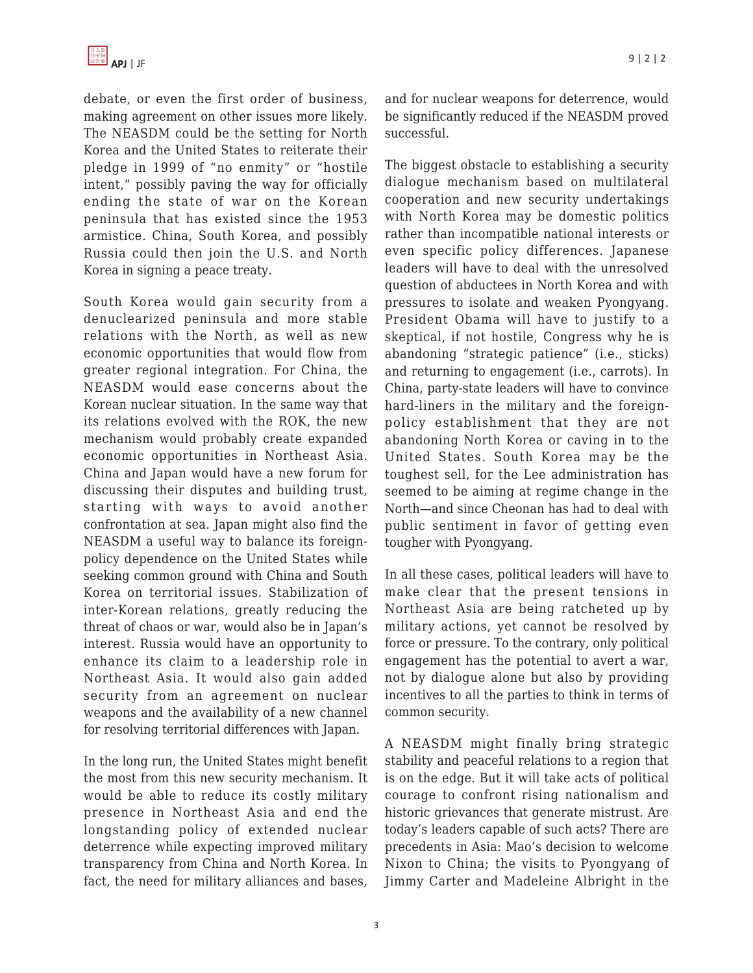debate, or even the first order of business, making agreement on other issues more likely. The NEASDM could be the setting for North Korea and the United States to reiterate their pledge in 1999 of "no enmity" or "hostile intent," possibly paving the way for officially ending the state of war on the Korean peninsula that has existed since the 1953 armistice. China, South Korea, and possibly Russia could then join the U.S. and North Korea in signing a peace treaty.

South Korea would gain security from a denuclearized peninsula and more stable relations with the North, as well as new economic opportunities that would flow from greater regional integration. For China, the NEASDM would ease concerns about the Korean nuclear situation. In the same way that its relations evolved with the ROK, the new mechanism would probably create expanded economic opportunities in Northeast Asia. China and Japan would have a new forum for discussing their disputes and building trust, starting with ways to avoid another confrontation at sea. Japan might also find the NEASDM a useful way to balance its foreignpolicy dependence on the United States while seeking common ground with China and South Korea on territorial issues. Stabilization of inter-Korean relations, greatly reducing the threat of chaos or war, would also be in Japan's interest. Russia would have an opportunity to enhance its claim to a leadership role in Northeast Asia. It would also gain added security from an agreement on nuclear weapons and the availability of a new channel for resolving territorial differences with Japan.

In the long run, the United States might benefit the most from this new security mechanism. It would be able to reduce its costly military presence in Northeast Asia and end the longstanding policy of extended nuclear deterrence while expecting improved military transparency from China and North Korea. In fact, the need for military alliances and bases,

and for nuclear weapons for deterrence, would be significantly reduced if the NEASDM proved successful.

The biggest obstacle to establishing a security dialogue mechanism based on multilateral cooperation and new security undertakings with North Korea may be domestic politics rather than incompatible national interests or even specific policy differences. Japanese leaders will have to deal with the unresolved question of abductees in North Korea and with pressures to isolate and weaken Pyongyang. President Obama will have to justify to a skeptical, if not hostile, Congress why he is abandoning "strategic patience" (i.e., sticks) and returning to engagement (i.e., carrots). In China, party-state leaders will have to convince hard-liners in the military and the foreignpolicy establishment that they are not abandoning North Korea or caving in to the United States. South Korea may be the toughest sell, for the Lee administration has seemed to be aiming at regime change in the North—and since Cheonan has had to deal with public sentiment in favor of getting even tougher with Pyongyang.

In all these cases, political leaders will have to make clear that the present tensions in Northeast Asia are being ratcheted up by military actions, yet cannot be resolved by force or pressure. To the contrary, only political engagement has the potential to avert a war, not by dialogue alone but also by providing incentives to all the parties to think in terms of common security.

A NEASDM might finally bring strategic stability and peaceful relations to a region that is on the edge. But it will take acts of political courage to confront rising nationalism and historic grievances that generate mistrust. Are today's leaders capable of such acts? There are precedents in Asia: Mao's decision to welcome Nixon to China; the visits to Pyongyang of Jimmy Carter and Madeleine Albright in the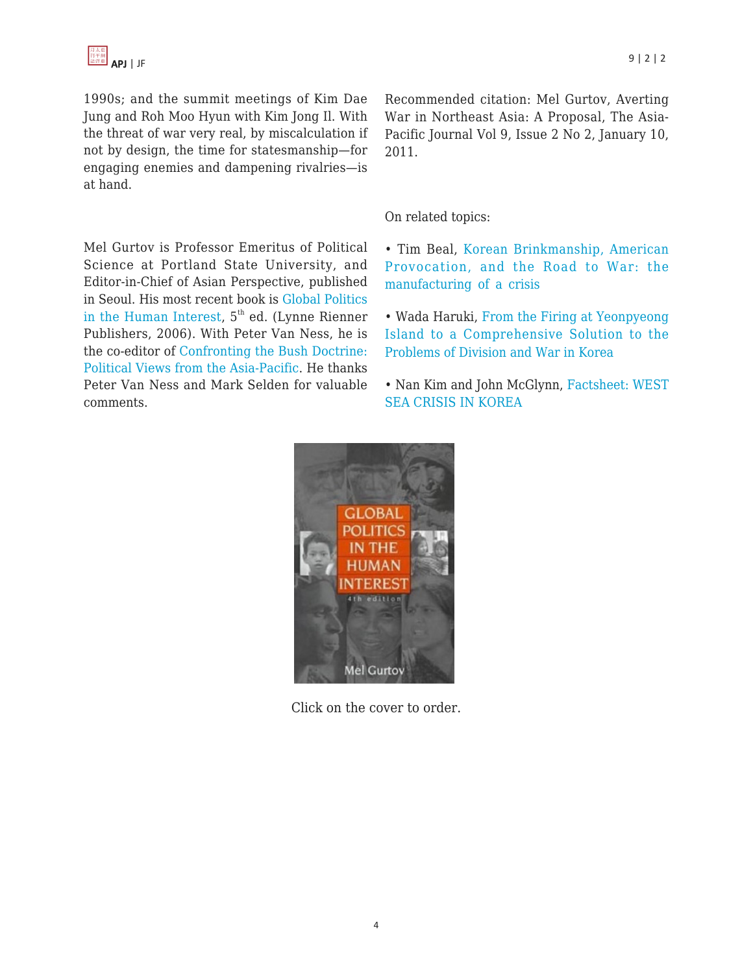1990s; and the summit meetings of Kim Dae Jung and Roh Moo Hyun with Kim Jong Il. With the threat of war very real, by miscalculation if not by design, the time for statesmanship—for engaging enemies and dampening rivalries—is at hand.

Mel Gurtov is Professor Emeritus of Political Science at Portland State University, and Editor-in-Chief of Asian Perspective, published in Seoul. His most recent book is [Global Politics](http://www.amazon.com/dp/1555878202/?tag=theasipacjo0b-20) [in the Human Interest](http://www.amazon.com/dp/1555878202/?tag=theasipacjo0b-20),  $5<sup>th</sup>$  ed. (Lynne Rienner Publishers, 2006). With Peter Van Ness, he is the co-editor of [Confronting the Bush Doctrine:](http://www.amazon.com/dp/0415355346/?tag=theasipacjo0b-20) [Political Views from the Asia-Pacific](http://www.amazon.com/dp/0415355346/?tag=theasipacjo0b-20). He thanks Peter Van Ness and Mark Selden for valuable comments.

Recommended citation: Mel Gurtov, Averting War in Northeast Asia: A Proposal, The Asia-Pacific Journal Vol 9, Issue 2 No 2, January 10, 2011.

#### On related topics:

• Tim Beal, [Korean Brinkmanship, American](http://japanfocus.org/-Tim-Beal/3459) [Provocation, and the Road to War: the](http://japanfocus.org/-Tim-Beal/3459) [manufacturing of a crisis](http://japanfocus.org/-Tim-Beal/3459)

• Wada Haruki, [From the Firing at Yeonpyeong](http://japanfocus.org/-Wada-Haruki/3458) [Island to a Comprehensive Solution to the](http://japanfocus.org/-Wada-Haruki/3458) [Problems of Division and War in Korea](http://japanfocus.org/-Wada-Haruki/3458)

[• Nan Kim and John Mc](http://japanfocus.org/-John-McGlynn/3452)Glynn[, Factsheet: WEST](http://japanfocus.org/-John-McGlynn/3452) SEA CRISIS IN KOREA



Click on the cover to order.